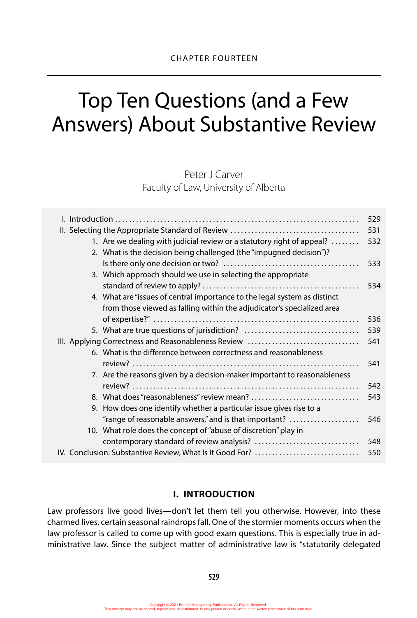# Top Ten Questions (and a Few Answers) About Substantive Review

Peter J Carver Faculty of Law, University of Alberta

|                                                                           | 529 |
|---------------------------------------------------------------------------|-----|
|                                                                           | 531 |
| 1. Are we dealing with judicial review or a statutory right of appeal?    | 532 |
| 2. What is the decision being challenged (the "impugned decision")?       |     |
|                                                                           | 533 |
| 3. Which approach should we use in selecting the appropriate              |     |
|                                                                           | 534 |
| 4. What are "issues of central importance to the legal system as distinct |     |
| from those viewed as falling within the adjudicator's specialized area    |     |
|                                                                           | 536 |
|                                                                           | 539 |
| III. Applying Correctness and Reasonableness Review                       | 541 |
| 6. What is the difference between correctness and reasonableness          |     |
|                                                                           | 541 |
| 7. Are the reasons given by a decision-maker important to reasonableness  |     |
|                                                                           | 542 |
|                                                                           | 543 |
| 9. How does one identify whether a particular issue gives rise to a       |     |
| "range of reasonable answers," and is that important?                     | 546 |
| 10. What role does the concept of "abuse of discretion" play in           |     |
|                                                                           | 548 |
| IV. Conclusion: Substantive Review, What Is It Good For?                  | 550 |

## **I. INTRODUCTION**

Law professors live good lives—don't let them tell you otherwise. However, into these charmed lives, certain seasonal raindrops fall. One of the stormier moments occurs when the law professor is called to come up with good exam questions. This is especially true in administrative law. Since the subject matter of administrative law is "statutorily delegated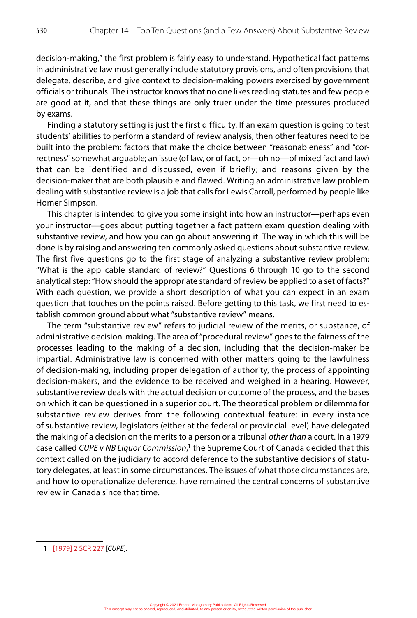decision-making," the first problem is fairly easy to understand. Hypothetical fact patterns in administrative law must generally include statutory provisions, and often provisions that delegate, describe, and give context to decision-making powers exercised by government officials or tribunals. The instructor knows that no one likes reading statutes and few people are good at it, and that these things are only truer under the time pressures produced by exams.

Finding a statutory setting is just the first difficulty. If an exam question is going to test students' abilities to perform a standard of review analysis, then other features need to be built into the problem: factors that make the choice between "reasonableness" and "correctness" somewhat arguable; an issue (of law, or of fact, or—oh no—of mixed fact and law) that can be identified and discussed, even if briefly; and reasons given by the decision-maker that are both plausible and flawed. Writing an administrative law problem dealing with substantive review is a job that calls for Lewis Carroll, performed by people like Homer Simpson.

This chapter is intended to give you some insight into how an instructor—perhaps even your instructor—goes about putting together a fact pattern exam question dealing with substantive review, and how you can go about answering it. The way in which this will be done is by raising and answering ten commonly asked questions about substantive review. The first five questions go to the first stage of analyzing a substantive review problem: "What is the applicable standard of review?" Questions 6 through 10 go to the second analytical step: "How should the appropriate standard of review be applied to a set of facts?" With each question, we provide a short description of what you can expect in an exam question that touches on the points raised. Before getting to this task, we first need to establish common ground about what "substantive review" means.

The term "substantive review" refers to judicial review of the merits, or substance, of administrative decision-making. The area of "procedural review" goes to the fairness of the processes leading to the making of a decision, including that the decision-maker be impartial. Administrative law is concerned with other matters going to the lawfulness of decision-making, including proper delegation of authority, the process of appointing decision-makers, and the evidence to be received and weighed in a hearing. However, substantive review deals with the actual decision or outcome of the process, and the bases on which it can be questioned in a superior court. The theoretical problem or dilemma for substantive review derives from the following contextual feature: in every instance of substantive review, legislators (either at the federal or provincial level) have delegated the making of a decision on the merits to a person or a tribunal *other than* a court. In a 1979 case called *CUPE v NB Liquor Commission*, 1 the Supreme Court of Canada decided that this context called on the judiciary to accord deference to the substantive decisions of statutory delegates, at least in some circumstances. The issues of what those circumstances are, and how to operationalize deference, have remained the central concerns of substantive review in Canada since that time.

<sup>1</sup> [\[1979\] 2 SCR 227](https://www.canlii.org/en/ca/scc/doc/1979/1979canlii23/1979canlii23.html?autocompleteStr=%5B1979%5D 2 SCR 227&autocompletePos=1) [*CUPE*].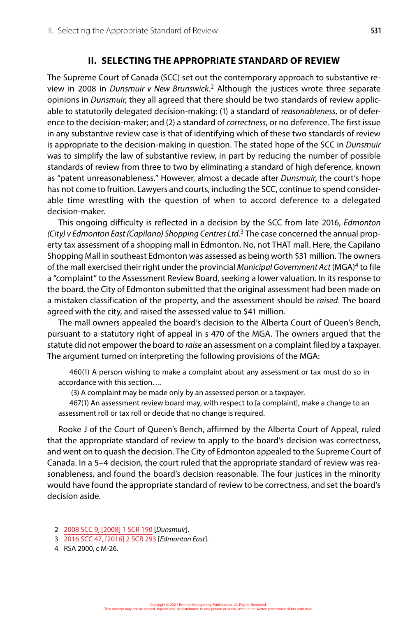#### **II. SELECTING THE APPROPRIATE STANDARD OF REVIEW**

The Supreme Court of Canada (SCC) set out the contemporary approach to substantive review in 2008 in *Dunsmuir v New Brunswick*. 2 Although the justices wrote three separate opinions in *Dunsmuir*, they all agreed that there should be two standards of review applicable to statutorily delegated decision-making: (1) a standard of *reasonableness*, or of deference to the decision-maker; and (2) a standard of *correctness*, or no deference. The first issue in any substantive review case is that of identifying which of these two standards of review is appropriate to the decision-making in question. The stated hope of the SCC in *Dunsmuir* was to simplify the law of substantive review, in part by reducing the number of possible standards of review from three to two by eliminating a standard of high deference, known as "patent unreasonableness." However, almost a decade after *Dunsmuir*, the court's hope has not come to fruition. Lawyers and courts, including the SCC, continue to spend considerable time wrestling with the question of when to accord deference to a delegated decision-maker.

This ongoing difficulty is reflected in a decision by the SCC from late 2016, *Edmonton (City) v Edmonton East (Capilano) Shopping Centres Ltd*. 3 The case concerned the annual property tax assessment of a shopping mall in Edmonton. No, not THAT mall. Here, the Capilano Shopping Mall in southeast Edmonton was assessed as being worth \$31 million. The owners of the mall exercised their right under the provincial *Municipal Government Act* (MGA)4 to file a "complaint" to the Assessment Review Board, seeking a lower valuation. In its response to the board, the City of Edmonton submitted that the original assessment had been made on a mistaken classification of the property, and the assessment should be *raised*. The board agreed with the city, and raised the assessed value to \$41 million.

The mall owners appealed the board's decision to the Alberta Court of Queen's Bench, pursuant to a statutory right of appeal in s 470 of the MGA. The owners argued that the statute did not empower the board to *raise* an assessment on a complaint filed by a taxpayer. The argument turned on interpreting the following provisions of the MGA:

460(1) A person wishing to make a complaint about any assessment or tax must do so in accordance with this section….

(3) A complaint may be made only by an assessed person or a taxpayer.

467(1) An assessment review board may, with respect to [a complaint], make a change to an assessment roll or tax roll or decide that no change is required.

Rooke J of the Court of Queen's Bench, affirmed by the Alberta Court of Appeal, ruled that the appropriate standard of review to apply to the board's decision was correctness, and went on to quash the decision. The City of Edmonton appealed to the Supreme Court of Canada. In a 5–4 decision, the court ruled that the appropriate standard of review was reasonableness, and found the board's decision reasonable. The four justices in the minority would have found the appropriate standard of review to be correctness, and set the board's decision aside.

<sup>2</sup> [2008 SCC 9, \[2008\] 1 SCR 190](https://www.canlii.org/en/ca/scc/doc/2008/2008scc9/2008scc9.html?autocompleteStr=2008 SCC 9%2C %5B2008%5D 1 SCR 190 &autocompletePos=1) [*Dunsmuir*].

<sup>3</sup> [2016 SCC 47, \[2016\] 2 SCR 293](https://www.canlii.org/en/ca/scc/doc/2016/2016scc47/2016scc47.html?autocompleteStr=2016 SCC 47%2C %5B2016%5D 2 SCR 293  &autocompletePos=1) [*Edmonton East*].

<sup>4</sup> RSA 2000, c M-26.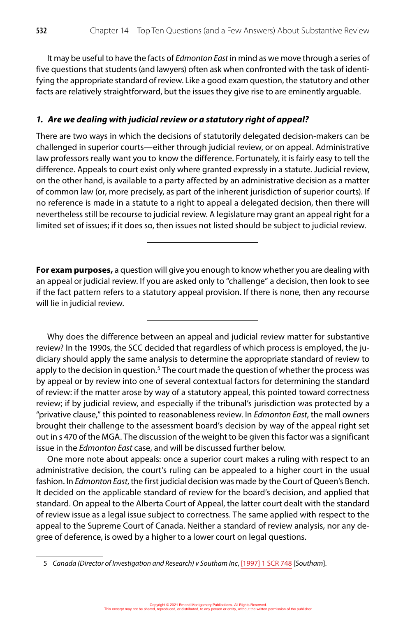It may be useful to have the facts of *Edmonton East* in mind as we move through a series of five questions that students (and lawyers) often ask when confronted with the task of identifying the appropriate standard of review. Like a good exam question, the statutory and other facts are relatively straightforward, but the issues they give rise to are eminently arguable.

### *1. Are we dealing with judicial review or a statutory right of appeal?*

There are two ways in which the decisions of statutorily delegated decision-makers can be challenged in superior courts—either through judicial review, or on appeal. Administrative law professors really want you to know the difference. Fortunately, it is fairly easy to tell the difference. Appeals to court exist only where granted expressly in a statute. Judicial review, on the other hand, is available to a party affected by an administrative decision as a matter of common law (or, more precisely, as part of the inherent jurisdiction of superior courts). If no reference is made in a statute to a right to appeal a delegated decision, then there will nevertheless still be recourse to judicial review. A legislature may grant an appeal right for a limited set of issues; if it does so, then issues not listed should be subject to judicial review.

**For exam purposes,** a question will give you enough to know whether you are dealing with an appeal or judicial review. If you are asked only to "challenge" a decision, then look to see if the fact pattern refers to a statutory appeal provision. If there is none, then any recourse will lie in judicial review.

Why does the difference between an appeal and judicial review matter for substantive review? In the 1990s, the SCC decided that regardless of which process is employed, the judiciary should apply the same analysis to determine the appropriate standard of review to apply to the decision in question.<sup>5</sup> The court made the question of whether the process was by appeal or by review into one of several contextual factors for determining the standard of review: if the matter arose by way of a statutory appeal, this pointed toward correctness review; if by judicial review, and especially if the tribunal's jurisdiction was protected by a "privative clause," this pointed to reasonableness review. In *Edmonton East*, the mall owners brought their challenge to the assessment board's decision by way of the appeal right set out in s 470 of the MGA. The discussion of the weight to be given this factor was a significant issue in the *Edmonton East* case, and will be discussed further below.

One more note about appeals: once a superior court makes a ruling with respect to an administrative decision, the court's ruling can be appealed to a higher court in the usual fashion. In *Edmonton East*, the first judicial decision was made by the Court of Queen's Bench. It decided on the applicable standard of review for the board's decision, and applied that standard. On appeal to the Alberta Court of Appeal, the latter court dealt with the standard of review issue as a legal issue subject to correctness. The same applied with respect to the appeal to the Supreme Court of Canada. Neither a standard of review analysis, nor any degree of deference, is owed by a higher to a lower court on legal questions.

<sup>5</sup> *Canada (Director of Investigation and Research) v Southam Inc*, [\[1997\] 1 SCR 748](https://www.canlii.org/en/ca/scc/doc/1997/1997canlii385/1997canlii385.html?autocompleteStr=Southam v Canada (Director of Investigation and Research) %5B1997%5D 1 SCR 748&autocompletePos=1) [*Southam*].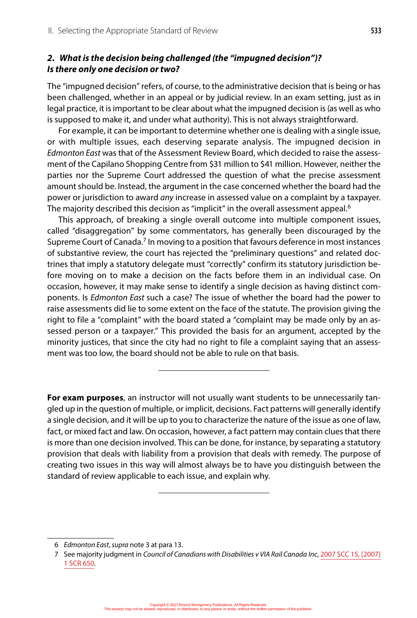## *2. What is the decision being challenged (the "impugned decision")? Is there only one decision or two?*

The "impugned decision" refers, of course, to the administrative decision that is being or has been challenged, whether in an appeal or by judicial review. In an exam setting, just as in legal practice, it is important to be clear about what the impugned decision is (as well as who is supposed to make it, and under what authority). This is not always straightforward.

For example, it can be important to determine whether one is dealing with a single issue, or with multiple issues, each deserving separate analysis. The impugned decision in *Edmonton East* was that of the Assessment Review Board, which decided to raise the assessment of the Capilano Shopping Centre from \$31 million to \$41 million. However, neither the parties nor the Supreme Court addressed the question of what the precise assessment amount should be. Instead, the argument in the case concerned whether the board had the power or jurisdiction to award *any* increase in assessed value on a complaint by a taxpayer. The majority described this decision as "implicit" in the overall assessment appeal.<sup>6</sup>

This approach, of breaking a single overall outcome into multiple component issues, called "disaggregation" by some commentators, has generally been discouraged by the Supreme Court of Canada.<sup>7</sup> In moving to a position that favours deference in most instances of substantive review, the court has rejected the "preliminary questions" and related doctrines that imply a statutory delegate must "correctly" confirm its statutory jurisdiction before moving on to make a decision on the facts before them in an individual case. On occasion, however, it may make sense to identify a single decision as having distinct components. Is *Edmonton East* such a case? The issue of whether the board had the power to raise assessments did lie to some extent on the face of the statute. The provision giving the right to file a "complaint" with the board stated a "complaint may be made only by an assessed person or a taxpayer." This provided the basis for an argument, accepted by the minority justices, that since the city had no right to file a complaint saying that an assessment was too low, the board should not be able to rule on that basis.

**For exam purposes**, an instructor will not usually want students to be unnecessarily tangled up in the question of multiple, or implicit, decisions. Fact patterns will generally identify a single decision, and it will be up to you to characterize the nature of the issue as one of law, fact, or mixed fact and law. On occasion, however, a fact pattern may contain clues that there is more than one decision involved. This can be done, for instance, by separating a statutory provision that deals with liability from a provision that deals with remedy. The purpose of creating two issues in this way will almost always be to have you distinguish between the standard of review applicable to each issue, and explain why.

<sup>6</sup> *Edmonton East*, *supra* note 3 at para 13.

<sup>7</sup> See majority judgment in *Council of Canadians with Disabilities v VIA Rail Canada Inc*, [2007 SCC 15, \[2007\]](https://www.canlii.org/en/ca/scc/doc/2007/2007scc15/2007scc15.html?autocompleteStr=Council of Canadians with Disabilities v VIA Rail Canada Inc%2C 2007 &autocompletePos=1) [1 SCR 650.](https://www.canlii.org/en/ca/scc/doc/2007/2007scc15/2007scc15.html?autocompleteStr=Council of Canadians with Disabilities v VIA Rail Canada Inc%2C 2007 &autocompletePos=1)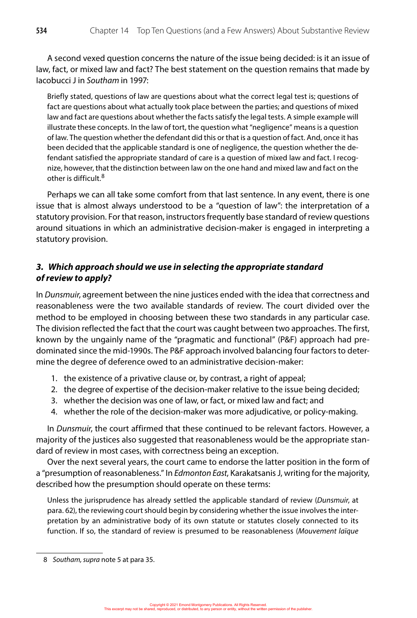A second vexed question concerns the nature of the issue being decided: is it an issue of law, fact, or mixed law and fact? The best statement on the question remains that made by Iacobucci J in *Southam* in 1997:

Briefly stated, questions of law are questions about what the correct legal test is; questions of fact are questions about what actually took place between the parties; and questions of mixed law and fact are questions about whether the facts satisfy the legal tests. A simple example will illustrate these concepts. In the law of tort, the question what "negligence" means is a question of law. The question whether the defendant did this or that is a question of fact. And, once it has been decided that the applicable standard is one of negligence, the question whether the defendant satisfied the appropriate standard of care is a question of mixed law and fact. I recognize, however, that the distinction between law on the one hand and mixed law and fact on the other is difficult.<sup>8</sup>

Perhaps we can all take some comfort from that last sentence. In any event, there is one issue that is almost always understood to be a "question of law": the interpretation of a statutory provision. For that reason, instructors frequently base standard of review questions around situations in which an administrative decision-maker is engaged in interpreting a statutory provision.

## *3. Which approach should we use in selecting the appropriate standard of review to apply?*

In *Dunsmuir*, agreement between the nine justices ended with the idea that correctness and reasonableness were the two available standards of review. The court divided over the method to be employed in choosing between these two standards in any particular case. The division reflected the fact that the court was caught between two approaches. The first, known by the ungainly name of the "pragmatic and functional" (P&F) approach had predominated since the mid-1990s. The P&F approach involved balancing four factors to determine the degree of deference owed to an administrative decision-maker:

- 1. the existence of a privative clause or, by contrast, a right of appeal;
- 2. the degree of expertise of the decision-maker relative to the issue being decided;
- 3. whether the decision was one of law, or fact, or mixed law and fact; and
- 4. whether the role of the decision-maker was more adjudicative, or policy-making.

In *Dunsmuir*, the court affirmed that these continued to be relevant factors. However, a majority of the justices also suggested that reasonableness would be the appropriate standard of review in most cases, with correctness being an exception.

Over the next several years, the court came to endorse the latter position in the form of a "presumption of reasonableness." In *Edmonton East*, Karakatsanis J, writing for the majority, described how the presumption should operate on these terms:

Unless the jurisprudence has already settled the applicable standard of review (*Dunsmuir*, at para. 62), the reviewing court should begin by considering whether the issue involves the interpretation by an administrative body of its own statute or statutes closely connected to its function. If so, the standard of review is presumed to be reasonableness (*Mouvement laïque* 

<sup>8</sup> *Southam, supra* note 5 at para 35.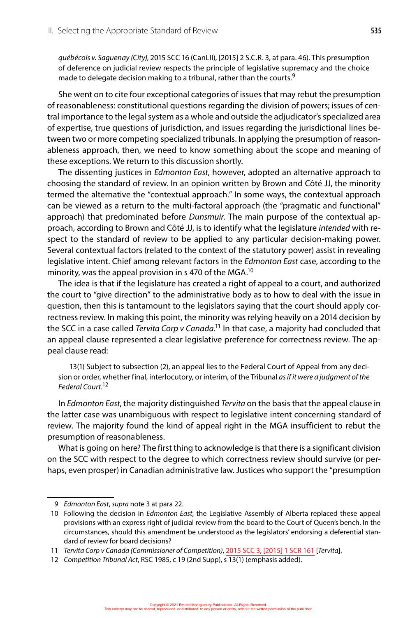*québécois v. Saguenay (City)*, 2015 SCC 16 (CanLII), [2015] 2 S.C.R. 3, at para. 46). This presumption of deference on judicial review respects the principle of legislative supremacy and the choice made to delegate decision making to a tribunal, rather than the courts.<sup>9</sup>

She went on to cite four exceptional categories of issues that may rebut the presumption of reasonableness: constitutional questions regarding the division of powers; issues of central importance to the legal system as a whole and outside the adjudicator's specialized area of expertise, true questions of jurisdiction, and issues regarding the jurisdictional lines between two or more competing specialized tribunals. In applying the presumption of reasonableness approach, then, we need to know something about the scope and meaning of these exceptions. We return to this discussion shortly.

The dissenting justices in *Edmonton East*, however, adopted an alternative approach to choosing the standard of review. In an opinion written by Brown and Côté JJ, the minority termed the alternative the "contextual approach." In some ways, the contextual approach can be viewed as a return to the multi-factoral approach (the "pragmatic and functional" approach) that predominated before *Dunsmuir*. The main purpose of the contextual approach, according to Brown and Côté JJ, is to identify what the legislature *intended* with respect to the standard of review to be applied to any particular decision-making power. Several contextual factors (related to the context of the statutory power) assist in revealing legislative intent. Chief among relevant factors in the *Edmonton East* case, according to the minority, was the appeal provision in s 470 of the MGA.10

The idea is that if the legislature has created a right of appeal to a court, and authorized the court to "give direction" to the administrative body as to how to deal with the issue in question, then this is tantamount to the legislators saying that the court should apply correctness review. In making this point, the minority was relying heavily on a 2014 decision by the SCC in a case called *Tervita Corp v Canada*. 11 In that case, a majority had concluded that an appeal clause represented a clear legislative preference for correctness review. The appeal clause read:

13(1) Subject to subsection (2), an appeal lies to the Federal Court of Appeal from any decision or order, whether final, interlocutory, or interim, of the Tribunal *as if it were a judgment of the Federal Court*. 12

In *Edmonton East*, the majority distinguished *Tervita* on the basis that the appeal clause in the latter case was unambiguous with respect to legislative intent concerning standard of review. The majority found the kind of appeal right in the MGA insufficient to rebut the presumption of reasonableness.

What is going on here? The first thing to acknowledge is that there is a significant division on the SCC with respect to the degree to which correctness review should survive (or perhaps, even prosper) in Canadian administrative law. Justices who support the "presumption

<sup>9</sup> *Edmonton East*, *supra* note 3 at para 22.

<sup>10</sup> Following the decision in *Edmonton East*, the Legislative Assembly of Alberta replaced these appeal provisions with an express right of judicial review from the board to the Court of Queen's bench. In the circumstances, should this amendment be understood as the legislators' endorsing a deferential standard of review for board decisions?

<sup>11</sup> *Tervita Corp v Canada (Commissioner of Competition)*, [2015 SCC 3, \[2015\] 1 SCR 161](https://www.canlii.org/en/ca/scc/doc/2015/2015scc3/2015scc3.html?autocompleteStr=2015 SCC 3%2C %5B2015%5D 1 SCR 161&autocompletePos=1) [*Tervita*].

<sup>12</sup> *Competition Tribunal Act*, RSC 1985, c 19 (2nd Supp), s 13(1) (emphasis added).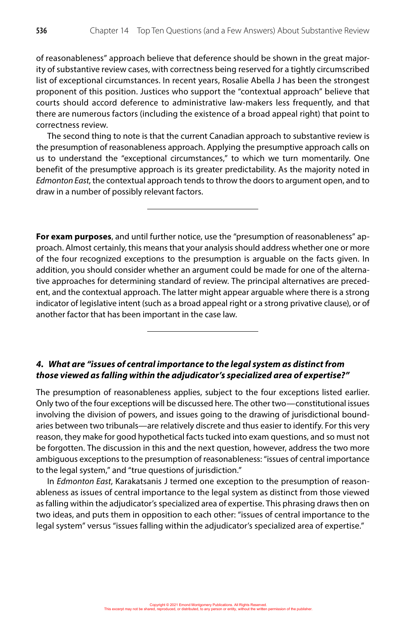of reasonableness" approach believe that deference should be shown in the great majority of substantive review cases, with correctness being reserved for a tightly circumscribed list of exceptional circumstances. In recent years, Rosalie Abella J has been the strongest proponent of this position. Justices who support the "contextual approach" believe that courts should accord deference to administrative law-makers less frequently, and that there are numerous factors (including the existence of a broad appeal right) that point to correctness review.

The second thing to note is that the current Canadian approach to substantive review is the presumption of reasonableness approach. Applying the presumptive approach calls on us to understand the "exceptional circumstances," to which we turn momentarily. One benefit of the presumptive approach is its greater predictability. As the majority noted in *Edmonton East*, the contextual approach tends to throw the doors to argument open, and to draw in a number of possibly relevant factors.

**For exam purposes**, and until further notice, use the "presumption of reasonableness" approach. Almost certainly, this means that your analysis should address whether one or more of the four recognized exceptions to the presumption is arguable on the facts given. In addition, you should consider whether an argument could be made for one of the alternative approaches for determining standard of review. The principal alternatives are precedent, and the contextual approach. The latter might appear arguable where there is a strong indicator of legislative intent (such as a broad appeal right or a strong privative clause), or of another factor that has been important in the case law.

## *4. What are "issues of central importance to the legal system as distinct from those viewed as falling within the adjudicator's specialized area of expertise?"*

The presumption of reasonableness applies, subject to the four exceptions listed earlier. Only two of the four exceptions will be discussed here. The other two—constitutional issues involving the division of powers, and issues going to the drawing of jurisdictional boundaries between two tribunals—are relatively discrete and thus easier to identify. For this very reason, they make for good hypothetical facts tucked into exam questions, and so must not be forgotten. The discussion in this and the next question, however, address the two more ambiguous exceptions to the presumption of reasonableness: "issues of central importance to the legal system," and "true questions of jurisdiction."

In *Edmonton East*, Karakatsanis J termed one exception to the presumption of reasonableness as issues of central importance to the legal system as distinct from those viewed as falling within the adjudicator's specialized area of expertise. This phrasing draws then on two ideas, and puts them in opposition to each other: "issues of central importance to the legal system" versus "issues falling within the adjudicator's specialized area of expertise."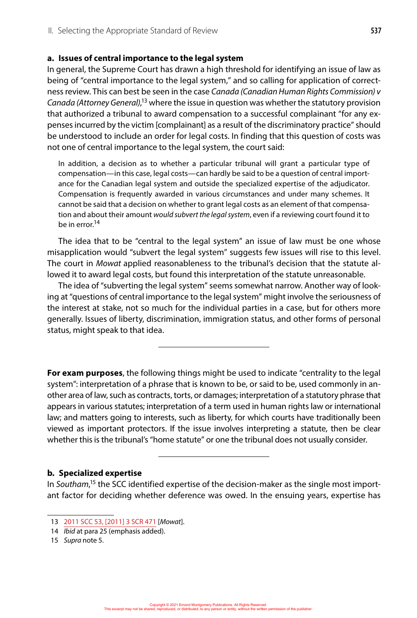#### **a. Issues of central importance to the legal system**

In general, the Supreme Court has drawn a high threshold for identifying an issue of law as being of "central importance to the legal system," and so calling for application of correctness review. This can best be seen in the case *Canada (Canadian Human Rights Commission) v*  Canada (Attorney General),<sup>13</sup> where the issue in question was whether the statutory provision that authorized a tribunal to award compensation to a successful complainant "for any expenses incurred by the victim [complainant] as a result of the discriminatory practice" should be understood to include an order for legal costs. In finding that this question of costs was not one of central importance to the legal system, the court said:

In addition, a decision as to whether a particular tribunal will grant a particular type of compensation—in this case, legal costs—can hardly be said to be a question of central importance for the Canadian legal system and outside the specialized expertise of the adjudicator. Compensation is frequently awarded in various circumstances and under many schemes. It cannot be said that a decision on whether to grant legal costs as an element of that compensation and about their amount *would subvert the legal system*, even if a reviewing court found it to be in error.<sup>14</sup>

The idea that to be "central to the legal system" an issue of law must be one whose misapplication would "subvert the legal system" suggests few issues will rise to this level. The court in *Mowat* applied reasonableness to the tribunal's decision that the statute allowed it to award legal costs, but found this interpretation of the statute unreasonable.

The idea of "subverting the legal system" seems somewhat narrow. Another way of looking at "questions of central importance to the legal system" might involve the seriousness of the interest at stake, not so much for the individual parties in a case, but for others more generally. Issues of liberty, discrimination, immigration status, and other forms of personal status, might speak to that idea.

**For exam purposes**, the following things might be used to indicate "centrality to the legal system": interpretation of a phrase that is known to be, or said to be, used commonly in another area of law, such as contracts, torts, or damages; interpretation of a statutory phrase that appears in various statutes; interpretation of a term used in human rights law or international law; and matters going to interests, such as liberty, for which courts have traditionally been viewed as important protectors. If the issue involves interpreting a statute, then be clear whether this is the tribunal's "home statute" or one the tribunal does not usually consider.

#### **b. Specialized expertise**

In Southam,<sup>15</sup> the SCC identified expertise of the decision-maker as the single most important factor for deciding whether deference was owed. In the ensuing years, expertise has

<sup>13</sup> [2011 SCC 53, \[2011\] 3 SCR 471](https://www.canlii.org/en/ca/scc/doc/2011/2011scc53/2011scc53.html?autocompleteStr=2011 SCC 53%2C %5B2011%5D 3 SCR 471 &autocompletePos=1) [*Mowat*].

<sup>14</sup> *Ibid* at para 25 (emphasis added).

<sup>15</sup> *Supra* note 5.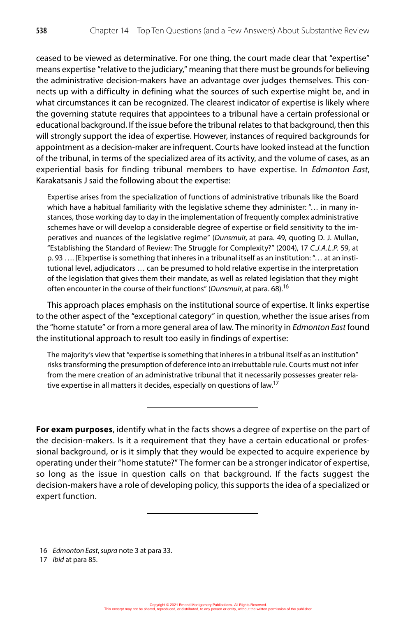ceased to be viewed as determinative. For one thing, the court made clear that "expertise" means expertise "relative to the judiciary," meaning that there must be grounds for believing the administrative decision-makers have an advantage over judges themselves. This connects up with a difficulty in defining what the sources of such expertise might be, and in what circumstances it can be recognized. The clearest indicator of expertise is likely where the governing statute requires that appointees to a tribunal have a certain professional or educational background. If the issue before the tribunal relates to that background, then this will strongly support the idea of expertise. However, instances of required backgrounds for appointment as a decision-maker are infrequent. Courts have looked instead at the function of the tribunal, in terms of the specialized area of its activity, and the volume of cases, as an experiential basis for finding tribunal members to have expertise. In *Edmonton East*, Karakatsanis J said the following about the expertise:

Expertise arises from the specialization of functions of administrative tribunals like the Board which have a habitual familiarity with the legislative scheme they administer: "… in many instances, those working day to day in the implementation of frequently complex administrative schemes have or will develop a considerable degree of expertise or field sensitivity to the imperatives and nuances of the legislative regime" (*Dunsmuir*, at para. 49, quoting D. J. Mullan, "Establishing the Standard of Review: The Struggle for Complexity?" (2004), 17 *C.J.A.L.P.* 59, at p. 93 …. [E]xpertise is something that inheres in a tribunal itself as an institution: "… at an institutional level, adjudicators … can be presumed to hold relative expertise in the interpretation of the legislation that gives them their mandate, as well as related legislation that they might often encounter in the course of their functions" (*Dunsmuir*, at para. 68).16

This approach places emphasis on the institutional source of expertise. It links expertise to the other aspect of the "exceptional category" in question, whether the issue arises from the "home statute" or from a more general area of law. The minority in *Edmonton East* found the institutional approach to result too easily in findings of expertise:

The majority's view that "expertise is something that inheres in a tribunal itself as an institution" risks transforming the presumption of deference into an irrebuttable rule. Courts must not infer from the mere creation of an administrative tribunal that it necessarily possesses greater relative expertise in all matters it decides, especially on questions of law.<sup>17</sup>

**For exam purposes**, identify what in the facts shows a degree of expertise on the part of the decision-makers. Is it a requirement that they have a certain educational or professional background, or is it simply that they would be expected to acquire experience by operating under their "home statute?" The former can be a stronger indicator of expertise, so long as the issue in question calls on that background. If the facts suggest the decision-makers have a role of developing policy, this supports the idea of a specialized or expert function.

<sup>16</sup> *Edmonton East*, *supra* note 3 at para 33.

<sup>17</sup> *Ibid* at para 85.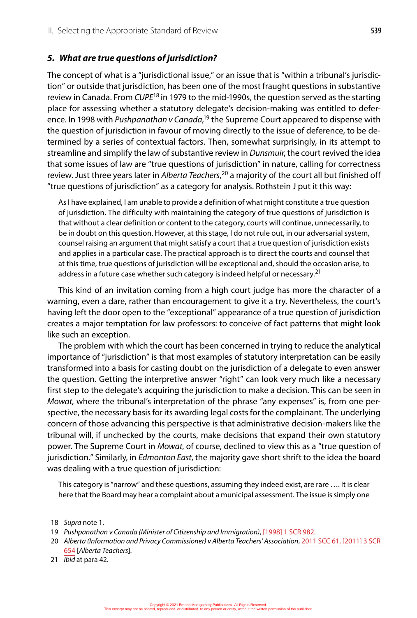#### *5. What are true questions of jurisdiction?*

The concept of what is a "jurisdictional issue," or an issue that is "within a tribunal's jurisdiction" or outside that jurisdiction, has been one of the most fraught questions in substantive review in Canada. From *CUPE*<sup>18</sup> in 1979 to the mid-1990s, the question served as the starting place for assessing whether a statutory delegate's decision-making was entitled to deference. In 1998 with *Pushpanathan v Canada*,<sup>19</sup> the Supreme Court appeared to dispense with the question of jurisdiction in favour of moving directly to the issue of deference, to be determined by a series of contextual factors. Then, somewhat surprisingly, in its attempt to streamline and simplify the law of substantive review in *Dunsmuir*, the court revived the idea that some issues of law are "true questions of jurisdiction" in nature, calling for correctness review. Just three years later in *Alberta Teachers*, 20 a majority of the court all but finished off "true questions of jurisdiction" as a category for analysis. Rothstein J put it this way:

As I have explained, I am unable to provide a definition of what might constitute a true question of jurisdiction. The difficulty with maintaining the category of true questions of jurisdiction is that without a clear definition or content to the category, courts will continue, unnecessarily, to be in doubt on this question. However, at this stage, I do not rule out, in our adversarial system, counsel raising an argument that might satisfy a court that a true question of jurisdiction exists and applies in a particular case. The practical approach is to direct the courts and counsel that at this time, true questions of jurisdiction will be exceptional and, should the occasion arise, to address in a future case whether such category is indeed helpful or necessary.<sup>21</sup>

This kind of an invitation coming from a high court judge has more the character of a warning, even a dare, rather than encouragement to give it a try. Nevertheless, the court's having left the door open to the "exceptional" appearance of a true question of jurisdiction creates a major temptation for law professors: to conceive of fact patterns that might look like such an exception.

The problem with which the court has been concerned in trying to reduce the analytical importance of "jurisdiction" is that most examples of statutory interpretation can be easily transformed into a basis for casting doubt on the jurisdiction of a delegate to even answer the question. Getting the interpretive answer "right" can look very much like a necessary first step to the delegate's acquiring the jurisdiction to make a decision. This can be seen in *Mowat*, where the tribunal's interpretation of the phrase "any expenses" is, from one perspective, the necessary basis for its awarding legal costs for the complainant. The underlying concern of those advancing this perspective is that administrative decision-makers like the tribunal will, if unchecked by the courts, make decisions that expand their own statutory power. The Supreme Court in *Mowat*, of course, declined to view this as a "true question of jurisdiction." Similarly, in *Edmonton East*, the majority gave short shrift to the idea the board was dealing with a true question of jurisdiction:

This category is "narrow" and these questions, assuming they indeed exist, are rare …. It is clear here that the Board may hear a complaint about a municipal assessment. The issue is simply one

<sup>18</sup> *Supra* note 1.

<sup>19</sup> *Pushpanathan v Canada (Minister of Citizenship and Immigration)*, [\[1998\] 1 SCR 982](https://www.canlii.org/en/ca/scc/doc/1998/1998canlii778/1998canlii778.html?autocompleteStr=%5B1998%5D 1 SCR 982&autocompletePos=1).

<sup>20</sup> *Alberta (Information and Privacy Commissioner) v Alberta Teachers' Association*, [2011 SCC 61, \[2011\] 3 SCR](https://www.canlii.org/en/ca/scc/doc/2011/2011scc61/2011scc61.html?autocompleteStr=%5B2011%5D 3 SCR 654%2C 2011 SCC.&autocompletePos=1)  [654](https://www.canlii.org/en/ca/scc/doc/2011/2011scc61/2011scc61.html?autocompleteStr=%5B2011%5D 3 SCR 654%2C 2011 SCC.&autocompletePos=1) [*Alberta Teachers*].

<sup>21</sup> *Ibid* at para 42.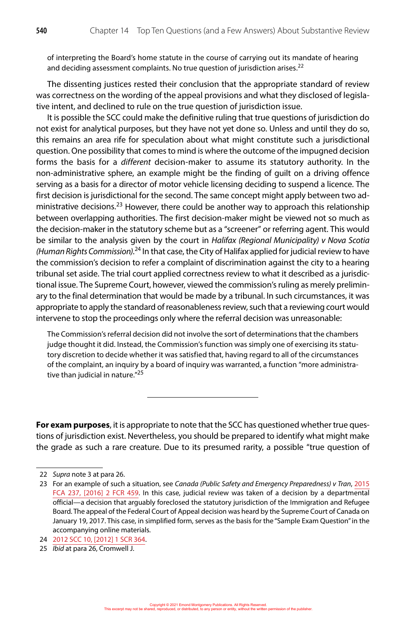of interpreting the Board's home statute in the course of carrying out its mandate of hearing and deciding assessment complaints. No true question of jurisdiction arises.<sup>22</sup>

The dissenting justices rested their conclusion that the appropriate standard of review was correctness on the wording of the appeal provisions and what they disclosed of legislative intent, and declined to rule on the true question of jurisdiction issue.

It is possible the SCC could make the definitive ruling that true questions of jurisdiction do not exist for analytical purposes, but they have not yet done so. Unless and until they do so, this remains an area rife for speculation about what might constitute such a jurisdictional question. One possibility that comes to mind is where the outcome of the impugned decision forms the basis for a *different* decision-maker to assume its statutory authority. In the non-administrative sphere, an example might be the finding of guilt on a driving offence serving as a basis for a director of motor vehicle licensing deciding to suspend a licence. The first decision is jurisdictional for the second. The same concept might apply between two administrative decisions.<sup>23</sup> However, there could be another way to approach this relationship between overlapping authorities. The first decision-maker might be viewed not so much as the decision-maker in the statutory scheme but as a "screener" or referring agent. This would be similar to the analysis given by the court in *Halifax (Regional Municipality) v Nova Scotia (Human Rights Commission)*. 24 In that case, the City of Halifax applied for judicial review to have the commission's decision to refer a complaint of discrimination against the city to a hearing tribunal set aside. The trial court applied correctness review to what it described as a jurisdictional issue. The Supreme Court, however, viewed the commission's ruling as merely preliminary to the final determination that would be made by a tribunal. In such circumstances, it was appropriate to apply the standard of reasonableness review, such that a reviewing court would intervene to stop the proceedings only where the referral decision was unreasonable:

The Commission's referral decision did not involve the sort of determinations that the chambers judge thought it did. Instead, the Commission's function was simply one of exercising its statutory discretion to decide whether it was satisfied that, having regard to all of the circumstances of the complaint, an inquiry by a board of inquiry was warranted, a function "more administrative than judicial in nature."<sup>25</sup>

**For exam purposes**, it is appropriate to note that the SCC has questioned whether true questions of jurisdiction exist. Nevertheless, you should be prepared to identify what might make the grade as such a rare creature. Due to its presumed rarity, a possible "true question of

<sup>22</sup> *Supra* note 3 at para 26.

<sup>23</sup> For an example of such a situation, see *Canada (Public Safety and Emergency Preparedness) v Tran*, [2015](https://www.canlii.org/en/ca/fca/doc/2015/2015fca237/2015fca237.html?autocompleteStr= Canada (Public Safety and Emergency Preparedness) v Tran%2C &autocompletePos=1) [FCA 237, \[2016\] 2 FCR 459.](https://www.canlii.org/en/ca/fca/doc/2015/2015fca237/2015fca237.html?autocompleteStr= Canada (Public Safety and Emergency Preparedness) v Tran%2C &autocompletePos=1) In this case, judicial review was taken of a decision by a departmental official—a decision that arguably foreclosed the statutory jurisdiction of the Immigration and Refugee Board. The appeal of the Federal Court of Appeal decision was heard by the Supreme Court of Canada on January 19, 2017. This case, in simplified form, serves as the basis for the "Sample Exam Question" in the accompanying online materials.

<sup>24</sup> [2012 SCC 10, \[2012\] 1 SCR 364.](https://www.canlii.org/en/ca/scc/doc/2012/2012scc10/2012scc10.html?autocompleteStr=Halifax (Regional Municipality) v Nova Scotia (Human Rights Commission&autocompletePos=1)

<sup>25</sup> *Ibid* at para 26, Cromwell J.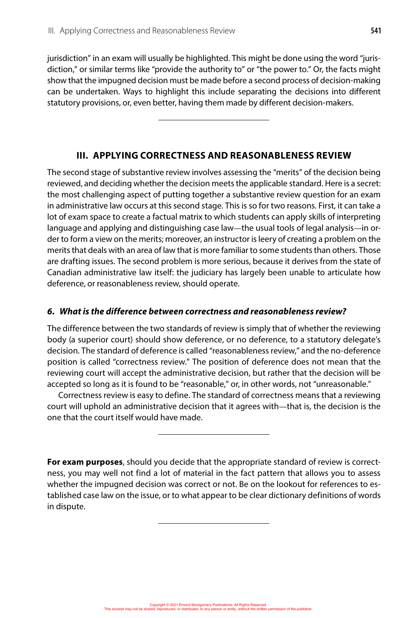jurisdiction" in an exam will usually be highlighted. This might be done using the word "jurisdiction," or similar terms like "provide the authority to" or "the power to." Or, the facts might show that the impugned decision must be made before a second process of decision-making can be undertaken. Ways to highlight this include separating the decisions into different statutory provisions, or, even better, having them made by different decision-makers.

# **III. APPLYING CORRECTNESS AND REASONABLENESS REVIEW**

The second stage of substantive review involves assessing the "merits" of the decision being reviewed, and deciding whether the decision meets the applicable standard. Here is a secret: the most challenging aspect of putting together a substantive review question for an exam in administrative law occurs at this second stage. This is so for two reasons. First, it can take a lot of exam space to create a factual matrix to which students can apply skills of interpreting language and applying and distinguishing case law—the usual tools of legal analysis—in order to form a view on the merits; moreover, an instructor is leery of creating a problem on the merits that deals with an area of law that is more familiar to some students than others. Those are drafting issues. The second problem is more serious, because it derives from the state of Canadian administrative law itself: the judiciary has largely been unable to articulate how deference, or reasonableness review, should operate.

## *6. What is the difference between correctness and reasonableness review?*

The difference between the two standards of review is simply that of whether the reviewing body (a superior court) should show deference, or no deference, to a statutory delegate's decision. The standard of deference is called "reasonableness review," and the no-deference position is called "correctness review." The position of deference does not mean that the reviewing court will accept the administrative decision, but rather that the decision will be accepted so long as it is found to be "reasonable," or, in other words, not "unreasonable."

Correctness review is easy to define. The standard of correctness means that a reviewing court will uphold an administrative decision that it agrees with—that is, the decision is the one that the court itself would have made.

**For exam purposes**, should you decide that the appropriate standard of review is correctness, you may well not find a lot of material in the fact pattern that allows you to assess whether the impugned decision was correct or not. Be on the lookout for references to established case law on the issue, or to what appear to be clear dictionary definitions of words in dispute.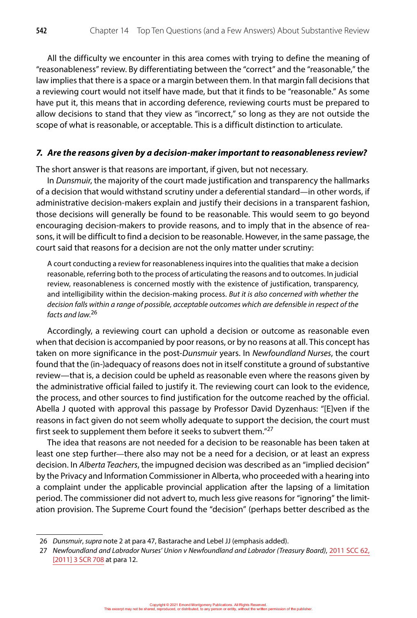All the difficulty we encounter in this area comes with trying to define the meaning of "reasonableness" review. By differentiating between the "correct" and the "reasonable," the law implies that there is a space or a margin between them. In that margin fall decisions that a reviewing court would not itself have made, but that it finds to be "reasonable." As some have put it, this means that in according deference, reviewing courts must be prepared to allow decisions to stand that they view as "incorrect," so long as they are not outside the scope of what is reasonable, or acceptable. This is a difficult distinction to articulate.

## *7. Are the reasons given by a decision-maker important to reasonableness review?*

The short answer is that reasons are important, if given, but not necessary.

In *Dunsmuir*, the majority of the court made justification and transparency the hallmarks of a decision that would withstand scrutiny under a deferential standard—in other words, if administrative decision-makers explain and justify their decisions in a transparent fashion, those decisions will generally be found to be reasonable. This would seem to go beyond encouraging decision-makers to provide reasons, and to imply that in the absence of reasons, it will be difficult to find a decision to be reasonable. However, in the same passage, the court said that reasons for a decision are not the only matter under scrutiny:

A court conducting a review for reasonableness inquires into the qualities that make a decision reasonable, referring both to the process of articulating the reasons and to outcomes. In judicial review, reasonableness is concerned mostly with the existence of justification, transparency, and intelligibility within the decision-making process. *But it is also concerned with whether the decision falls within a range of possible, acceptable outcomes which are defensible in respect of the facts and law*. 26

Accordingly, a reviewing court can uphold a decision or outcome as reasonable even when that decision is accompanied by poor reasons, or by no reasons at all. This concept has taken on more significance in the post-*Dunsmuir* years. In *Newfoundland Nurses*, the court found that the (in-)adequacy of reasons does not in itself constitute a ground of substantive review—that is, a decision could be upheld as reasonable even where the reasons given by the administrative official failed to justify it. The reviewing court can look to the evidence, the process, and other sources to find justification for the outcome reached by the official. Abella J quoted with approval this passage by Professor David Dyzenhaus: "[E]ven if the reasons in fact given do not seem wholly adequate to support the decision, the court must first seek to supplement them before it seeks to subvert them."<sup>27</sup>

The idea that reasons are not needed for a decision to be reasonable has been taken at least one step further—there also may not be a need for a decision, or at least an express decision. In *Alberta Teachers*, the impugned decision was described as an "implied decision" by the Privacy and Information Commissioner in Alberta, who proceeded with a hearing into a complaint under the applicable provincial application after the lapsing of a limitation period. The commissioner did not advert to, much less give reasons for "ignoring" the limitation provision. The Supreme Court found the "decision" (perhaps better described as the

<sup>26</sup> *Dunsmuir*, *supra* note 2 at para 47, Bastarache and Lebel JJ (emphasis added).

<sup>27</sup> *Newfoundland and Labrador Nurses' Union v Newfoundland and Labrador (Treasury Board)*, [2011 SCC 62,](https://www.canlii.org/en/ca/scc/doc/2011/2011scc62/2011scc62.html?autocompleteStr=2011 SCC 62%2C &autocompletePos=1) [\[2011\] 3 SCR 708](https://www.canlii.org/en/ca/scc/doc/2011/2011scc62/2011scc62.html?autocompleteStr=2011 SCC 62%2C &autocompletePos=1) at para 12.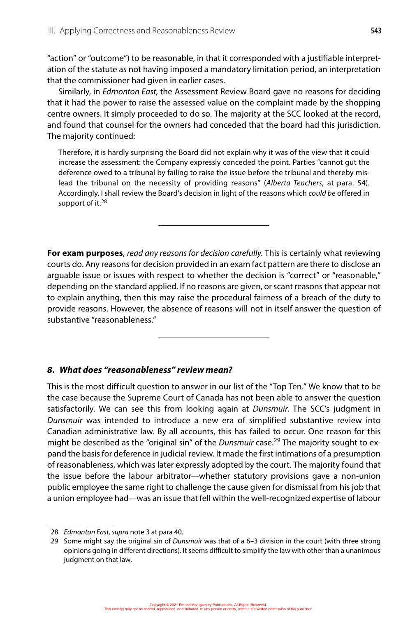"action" or "outcome") to be reasonable, in that it corresponded with a justifiable interpretation of the statute as not having imposed a mandatory limitation period, an interpretation that the commissioner had given in earlier cases.

Similarly, in *Edmonton East*, the Assessment Review Board gave no reasons for deciding that it had the power to raise the assessed value on the complaint made by the shopping centre owners. It simply proceeded to do so. The majority at the SCC looked at the record, and found that counsel for the owners had conceded that the board had this jurisdiction. The majority continued:

Therefore, it is hardly surprising the Board did not explain why it was of the view that it could increase the assessment: the Company expressly conceded the point. Parties "cannot gut the deference owed to a tribunal by failing to raise the issue before the tribunal and thereby mislead the tribunal on the necessity of providing reasons" (*Alberta Teachers*, at para. 54). Accordingly, I shall review the Board's decision in light of the reasons which *could be* offered in support of it.<sup>28</sup>

**For exam purposes**, *read any reasons for decision carefully*. This is certainly what reviewing courts do. Any reasons for decision provided in an exam fact pattern are there to disclose an arguable issue or issues with respect to whether the decision is "correct" or "reasonable," depending on the standard applied. If no reasons are given, or scant reasons that appear not to explain anything, then this may raise the procedural fairness of a breach of the duty to provide reasons. However, the absence of reasons will not in itself answer the question of substantive "reasonableness."

## *8. What does "reasonableness" review mean?*

This is the most difficult question to answer in our list of the "Top Ten." We know that to be the case because the Supreme Court of Canada has not been able to answer the question satisfactorily. We can see this from looking again at *Dunsmuir*. The SCC's judgment in *Dunsmuir* was intended to introduce a new era of simplified substantive review into Canadian administrative law. By all accounts, this has failed to occur. One reason for this might be described as the "original sin" of the *Dunsmuir* case.29 The majority sought to expand the basis for deference in judicial review. It made the first intimations of a presumption of reasonableness, which was later expressly adopted by the court. The majority found that the issue before the labour arbitrator—whether statutory provisions gave a non-union public employee the same right to challenge the cause given for dismissal from his job that a union employee had—was an issue that fell within the well-recognized expertise of labour

<sup>28</sup> *Edmonton East, supra* note 3 at para 40.

<sup>29</sup> Some might say the original sin of *Dunsmuir* was that of a 6–3 division in the court (with three strong opinions going in different directions). It seems difficult to simplify the law with other than a unanimous judgment on that law.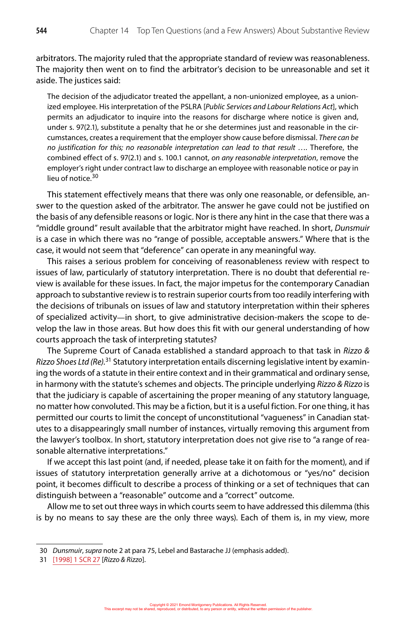arbitrators. The majority ruled that the appropriate standard of review was reasonableness. The majority then went on to find the arbitrator's decision to be unreasonable and set it aside. The justices said:

The decision of the adjudicator treated the appellant, a non-unionized employee, as a unionized employee. His interpretation of the PSLRA [*Public Services and Labour Relations Act*], which permits an adjudicator to inquire into the reasons for discharge where notice is given and, under s. 97(2.1), substitute a penalty that he or she determines just and reasonable in the circumstances, creates a requirement that the employer show cause before dismissal. *There can be*  no justification for this; no reasonable interpretation can lead to that result .... Therefore, the combined effect of s. 97(2.1) and s. 100.1 cannot, *on any reasonable interpretation*, remove the employer's right under contract law to discharge an employee with reasonable notice or pay in lieu of notice.<sup>30</sup>

This statement effectively means that there was only one reasonable, or defensible, answer to the question asked of the arbitrator. The answer he gave could not be justified on the basis of any defensible reasons or logic. Nor is there any hint in the case that there was a "middle ground" result available that the arbitrator might have reached. In short, *Dunsmuir* is a case in which there was no "range of possible, acceptable answers." Where that is the case, it would not seem that "deference" can operate in any meaningful way.

This raises a serious problem for conceiving of reasonableness review with respect to issues of law, particularly of statutory interpretation. There is no doubt that deferential review is available for these issues. In fact, the major impetus for the contemporary Canadian approach to substantive review is to restrain superior courts from too readily interfering with the decisions of tribunals on issues of law and statutory interpretation within their spheres of specialized activity—in short, to give administrative decision-makers the scope to develop the law in those areas. But how does this fit with our general understanding of how courts approach the task of interpreting statutes?

The Supreme Court of Canada established a standard approach to that task in *Rizzo &*  Rizzo Shoes Ltd (Re).<sup>31</sup> Statutory interpretation entails discerning legislative intent by examining the words of a statute in their entire context and in their grammatical and ordinary sense, in harmony with the statute's schemes and objects. The principle underlying *Rizzo & Rizzo* is that the judiciary is capable of ascertaining the proper meaning of any statutory language, no matter how convoluted. This may be a fiction, but it is a useful fiction. For one thing, it has permitted our courts to limit the concept of unconstitutional "vagueness" in Canadian statutes to a disappearingly small number of instances, virtually removing this argument from the lawyer's toolbox. In short, statutory interpretation does not give rise to "a range of reasonable alternative interpretations."

If we accept this last point (and, if needed, please take it on faith for the moment), and if issues of statutory interpretation generally arrive at a dichotomous or "yes/no" decision point, it becomes difficult to describe a process of thinking or a set of techniques that can distinguish between a "reasonable" outcome and a "correct" outcome.

Allow me to set out three ways in which courts seem to have addressed this dilemma (this is by no means to say these are the only three ways). Each of them is, in my view, more

<sup>30</sup> *Dunsmuir*, *supra* note 2 at para 75, Lebel and Bastarache JJ (emphasis added).

<sup>31</sup> [\[1998\] 1 SCR 27](https://www.canlii.org/en/ca/scc/doc/1998/1998canlii837/1998canlii837.html?resultIndex=2) [*Rizzo & Rizzo*].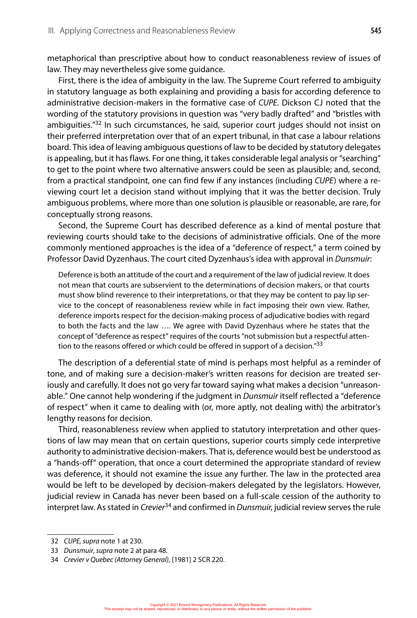metaphorical than prescriptive about how to conduct reasonableness review of issues of law. They may nevertheless give some guidance.

First, there is the idea of ambiguity in the law. The Supreme Court referred to ambiguity in statutory language as both explaining and providing a basis for according deference to administrative decision-makers in the formative case of *CUPE*. Dickson CJ noted that the wording of the statutory provisions in question was "very badly drafted" and "bristles with ambiguities."32 In such circumstances, he said, superior court judges should not insist on their preferred interpretation over that of an expert tribunal, in that case a labour relations board. This idea of leaving ambiguous questions of law to be decided by statutory delegates is appealing, but it has flaws. For one thing, it takes considerable legal analysis or "searching" to get to the point where two alternative answers could be seen as plausible; and, second, from a practical standpoint, one can find few if any instances (including *CUPE*) where a reviewing court let a decision stand without implying that it was the better decision. Truly ambiguous problems, where more than one solution is plausible or reasonable, are rare, for conceptually strong reasons.

Second, the Supreme Court has described deference as a kind of mental posture that reviewing courts should take to the decisions of administrative officials. One of the more commonly mentioned approaches is the idea of a "deference of respect," a term coined by Professor David Dyzenhaus. The court cited Dyzenhaus's idea with approval in *Dunsmuir*:

Deference is both an attitude of the court and a requirement of the law of judicial review. It does not mean that courts are subservient to the determinations of decision makers, or that courts must show blind reverence to their interpretations, or that they may be content to pay lip service to the concept of reasonableness review while in fact imposing their own view. Rather, deference imports respect for the decision-making process of adjudicative bodies with regard to both the facts and the law …. We agree with David Dyzenhaus where he states that the concept of "deference as respect" requires of the courts "not submission but a respectful attention to the reasons offered or which could be offered in support of a decision."<sup>33</sup>

The description of a deferential state of mind is perhaps most helpful as a reminder of tone, and of making sure a decision-maker's written reasons for decision are treated seriously and carefully. It does not go very far toward saying what makes a decision "unreasonable." One cannot help wondering if the judgment in *Dunsmuir* itself reflected a "deference of respect" when it came to dealing with (or, more aptly, not dealing with) the arbitrator's lengthy reasons for decision.

Third, reasonableness review when applied to statutory interpretation and other questions of law may mean that on certain questions, superior courts simply cede interpretive authority to administrative decision-makers. That is, deference would best be understood as a "hands-off" operation, that once a court determined the appropriate standard of review was deference, it should not examine the issue any further. The law in the protected area would be left to be developed by decision-makers delegated by the legislators. However, judicial review in Canada has never been based on a full-scale cession of the authority to interpret law. As stated in *Crevier*<sup>34</sup> and confirmed in *Dunsmuir*, judicial review serves the rule

<sup>32</sup> *CUPE, supra* note 1 at 230.

<sup>33</sup> *Dunsmuir*, *supra* note 2 at para 48.

<sup>34</sup> *Crevier v Quebec (Attorney General)*, [1981] 2 SCR 220.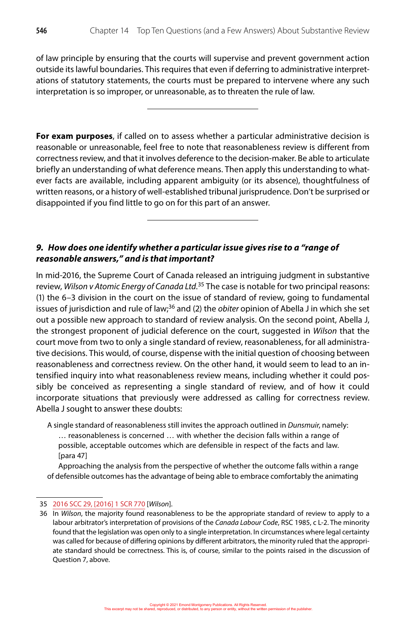of law principle by ensuring that the courts will supervise and prevent government action outside its lawful boundaries. This requires that even if deferring to administrative interpretations of statutory statements, the courts must be prepared to intervene where any such interpretation is so improper, or unreasonable, as to threaten the rule of law.

**For exam purposes**, if called on to assess whether a particular administrative decision is reasonable or unreasonable, feel free to note that reasonableness review is different from correctness review, and that it involves deference to the decision-maker. Be able to articulate briefly an understanding of what deference means. Then apply this understanding to whatever facts are available, including apparent ambiguity (or its absence), thoughtfulness of written reasons, or a history of well-established tribunal jurisprudence. Don't be surprised or disappointed if you find little to go on for this part of an answer.

## *9. How does one identify whether a particular issue gives rise to a "range of reasonable answers," and is that important?*

In mid-2016, the Supreme Court of Canada released an intriguing judgment in substantive review, *Wilson v Atomic Energy of Canada Ltd*. 35 The case is notable for two principal reasons: (1) the 6–3 division in the court on the issue of standard of review, going to fundamental issues of jurisdiction and rule of law;36 and (2) the *obiter* opinion of Abella J in which she set out a possible new approach to standard of review analysis. On the second point, Abella J, the strongest proponent of judicial deference on the court, suggested in *Wilson* that the court move from two to only a single standard of review, reasonableness, for all administrative decisions. This would, of course, dispense with the initial question of choosing between reasonableness and correctness review. On the other hand, it would seem to lead to an intensified inquiry into what reasonableness review means, including whether it could possibly be conceived as representing a single standard of review, and of how it could incorporate situations that previously were addressed as calling for correctness review. Abella J sought to answer these doubts:

A single standard of reasonableness still invites the approach outlined in *Dunsmuir*, namely: … reasonableness is concerned … with whether the decision falls within a range of possible, acceptable outcomes which are defensible in respect of the facts and law. [para 47]

Approaching the analysis from the perspective of whether the outcome falls within a range of defensible outcomes has the advantage of being able to embrace comfortably the animating

<sup>35</sup> [2016 SCC 29, \[2016\] 1 SCR 770](https://www.canlii.org/en/ca/scc/doc/2016/2016scc29/2016scc29.html?autocompleteStr=2016 SCC 29%2C&autocompletePos=1) [*Wilson*].

<sup>36</sup> In *Wilson*, the majority found reasonableness to be the appropriate standard of review to apply to a labour arbitrator's interpretation of provisions of the *Canada Labour Code*, RSC 1985, c L-2. The minority found that the legislation was open only to a single interpretation. In circumstances where legal certainty was called for because of differing opinions by different arbitrators, the minority ruled that the appropriate standard should be correctness. This is, of course, similar to the points raised in the discussion of Question 7, above.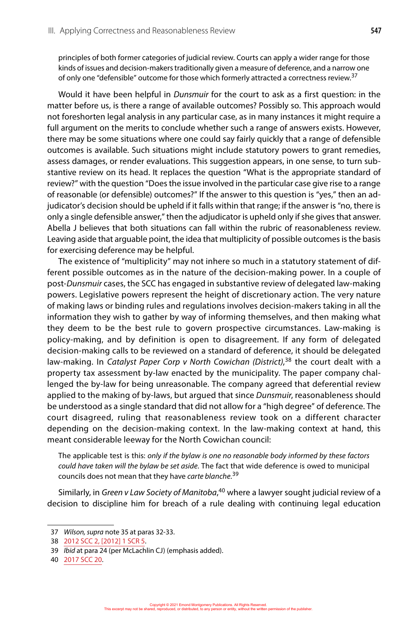principles of both former categories of judicial review. Courts can apply a wider range for those kinds of issues and decision-makers traditionally given a measure of deference, and a narrow one of only one "defensible" outcome for those which formerly attracted a correctness review.<sup>37</sup>

Would it have been helpful in *Dunsmuir* for the court to ask as a first question: in the matter before us, is there a range of available outcomes? Possibly so. This approach would not foreshorten legal analysis in any particular case, as in many instances it might require a full argument on the merits to conclude whether such a range of answers exists. However, there may be some situations where one could say fairly quickly that a range of defensible outcomes is available. Such situations might include statutory powers to grant remedies, assess damages, or render evaluations. This suggestion appears, in one sense, to turn substantive review on its head. It replaces the question "What is the appropriate standard of review?" with the question "Does the issue involved in the particular case give rise to a range of reasonable (or defensible) outcomes?" If the answer to this question is "yes," then an adjudicator's decision should be upheld if it falls within that range; if the answer is "no, there is only a single defensible answer," then the adjudicator is upheld only if she gives that answer. Abella J believes that both situations can fall within the rubric of reasonableness review. Leaving aside that arguable point, the idea that multiplicity of possible outcomes is the basis for exercising deference may be helpful.

The existence of "multiplicity" may not inhere so much in a statutory statement of different possible outcomes as in the nature of the decision-making power. In a couple of post-*Dunsmuir* cases, the SCC has engaged in substantive review of delegated law-making powers. Legislative powers represent the height of discretionary action. The very nature of making laws or binding rules and regulations involves decision-makers taking in all the information they wish to gather by way of informing themselves, and then making what they deem to be the best rule to govern prospective circumstances. Law-making is policy-making, and by definition is open to disagreement. If any form of delegated decision-making calls to be reviewed on a standard of deference, it should be delegated law-making. In *Catalyst Paper Corp v North Cowichan (District)*, 38 the court dealt with a property tax assessment by-law enacted by the municipality. The paper company challenged the by-law for being unreasonable. The company agreed that deferential review applied to the making of by-laws, but argued that since *Dunsmuir*, reasonableness should be understood as a single standard that did not allow for a "high degree" of deference. The court disagreed, ruling that reasonableness review took on a different character depending on the decision-making context. In the law-making context at hand, this meant considerable leeway for the North Cowichan council:

The applicable test is this: *only if the bylaw is one no reasonable body informed by these factors could have taken will the bylaw be set aside*. The fact that wide deference is owed to municipal councils does not mean that they have *carte blanche*. 39

Similarly, in *Green v Law Society of Manitoba*, 40 where a lawyer sought judicial review of a decision to discipline him for breach of a rule dealing with continuing legal education

<sup>37</sup> *Wilson, supra* note 35 at paras 32-33.

<sup>38</sup> [2012 SCC 2, \[2012\] 1 SCR 5](https://www.canlii.org/en/ca/scc/doc/2012/2012scc2/2012scc2.html?autocompleteStr=2012 SCC 2%2C %5B2012%5D 1 SCR 5. &autocompletePos=1).

<sup>39</sup> *Ibid* at para 24 (per McLachlin CJ) (emphasis added).

<sup>40</sup> [2017 SCC 20](https://www.canlii.org/en/ca/scc/doc/2017/2017scc20/2017scc20.html?autocompleteStr=2017 SCC 20 &autocompletePos=1).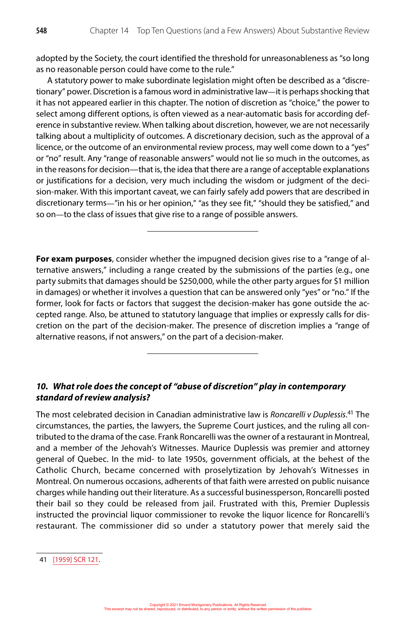adopted by the Society, the court identified the threshold for unreasonableness as "so long as no reasonable person could have come to the rule."

A statutory power to make subordinate legislation might often be described as a "discretionary" power. Discretion is a famous word in administrative law—it is perhaps shocking that it has not appeared earlier in this chapter. The notion of discretion as "choice," the power to select among different options, is often viewed as a near-automatic basis for according deference in substantive review. When talking about discretion, however, we are not necessarily talking about a multiplicity of outcomes. A discretionary decision, such as the approval of a licence, or the outcome of an environmental review process, may well come down to a "yes" or "no" result. Any "range of reasonable answers" would not lie so much in the outcomes, as in the reasons for decision—that is, the idea that there are a range of acceptable explanations or justifications for a decision, very much including the wisdom or judgment of the decision-maker. With this important caveat, we can fairly safely add powers that are described in discretionary terms—"in his or her opinion," "as they see fit," "should they be satisfied," and so on—to the class of issues that give rise to a range of possible answers.

**For exam purposes**, consider whether the impugned decision gives rise to a "range of alternative answers," including a range created by the submissions of the parties (e.g., one party submits that damages should be \$250,000, while the other party argues for \$1 million in damages) or whether it involves a question that can be answered only "yes" or "no." If the former, look for facts or factors that suggest the decision-maker has gone outside the accepted range. Also, be attuned to statutory language that implies or expressly calls for discretion on the part of the decision-maker. The presence of discretion implies a "range of alternative reasons, if not answers," on the part of a decision-maker.

# *10. What role does the concept of "abuse of discretion" play in contemporary standard of review analysis?*

The most celebrated decision in Canadian administrative law is *Roncarelli v Duplessis*. 41 The circumstances, the parties, the lawyers, the Supreme Court justices, and the ruling all contributed to the drama of the case. Frank Roncarelli was the owner of a restaurant in Montreal, and a member of the Jehovah's Witnesses. Maurice Duplessis was premier and attorney general of Quebec. In the mid- to late 1950s, government officials, at the behest of the Catholic Church, became concerned with proselytization by Jehovah's Witnesses in Montreal. On numerous occasions, adherents of that faith were arrested on public nuisance charges while handing out their literature. As a successful businessperson, Roncarelli posted their bail so they could be released from jail. Frustrated with this, Premier Duplessis instructed the provincial liquor commissioner to revoke the liquor licence for Roncarelli's restaurant. The commissioner did so under a statutory power that merely said the

<sup>41</sup> [\[1959\] SCR 121.](https://www.canlii.org/en/ca/scc/doc/1959/1959canlii50/1959canlii50.html?autocompleteStr=Roncarelli v Duplessis%2C %5B1959%5D SCR 121. &autocompletePos=1)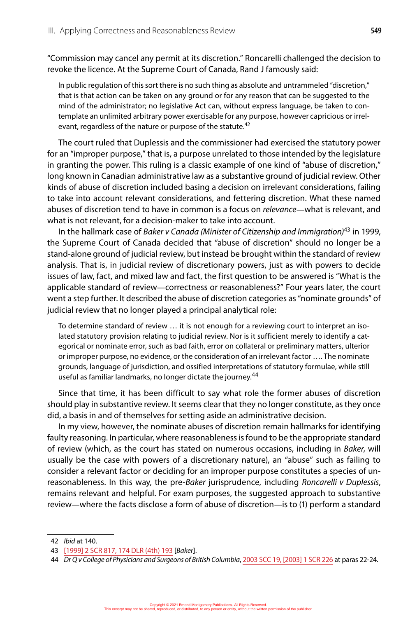"Commission may cancel any permit at its discretion." Roncarelli challenged the decision to revoke the licence. At the Supreme Court of Canada, Rand J famously said:

In public regulation of this sort there is no such thing as absolute and untrammeled "discretion," that is that action can be taken on any ground or for any reason that can be suggested to the mind of the administrator; no legislative Act can, without express language, be taken to contemplate an unlimited arbitrary power exercisable for any purpose, however capricious or irrelevant, regardless of the nature or purpose of the statute.<sup>42</sup>

The court ruled that Duplessis and the commissioner had exercised the statutory power for an "improper purpose," that is, a purpose unrelated to those intended by the legislature in granting the power. This ruling is a classic example of one kind of "abuse of discretion," long known in Canadian administrative law as a substantive ground of judicial review. Other kinds of abuse of discretion included basing a decision on irrelevant considerations, failing to take into account relevant considerations, and fettering discretion. What these named abuses of discretion tend to have in common is a focus on *relevance*—what is relevant, and what is not relevant, for a decision-maker to take into account.

In the hallmark case of *Baker v Canada (Minister of Citizenship and Immigration)*43 in 1999, the Supreme Court of Canada decided that "abuse of discretion" should no longer be a stand-alone ground of judicial review, but instead be brought within the standard of review analysis. That is, in judicial review of discretionary powers, just as with powers to decide issues of law, fact, and mixed law and fact, the first question to be answered is "What is the applicable standard of review—correctness or reasonableness?" Four years later, the court went a step further. It described the abuse of discretion categories as "nominate grounds" of judicial review that no longer played a principal analytical role:

To determine standard of review … it is not enough for a reviewing court to interpret an isolated statutory provision relating to judicial review. Nor is it sufficient merely to identify a categorical or nominate error, such as bad faith, error on collateral or preliminary matters, ulterior or improper purpose, no evidence, or the consideration of an irrelevant factor …. The nominate grounds, language of jurisdiction, and ossified interpretations of statutory formulae, while still useful as familiar landmarks, no longer dictate the journey.<sup>44</sup>

Since that time, it has been difficult to say what role the former abuses of discretion should play in substantive review. It seems clear that they no longer constitute, as they once did, a basis in and of themselves for setting aside an administrative decision.

In my view, however, the nominate abuses of discretion remain hallmarks for identifying faulty reasoning. In particular, where reasonableness is found to be the appropriate standard of review (which, as the court has stated on numerous occasions, including in *Baker*, will usually be the case with powers of a discretionary nature), an "abuse" such as failing to consider a relevant factor or deciding for an improper purpose constitutes a species of unreasonableness. In this way, the pre-*Baker* jurisprudence, including *Roncarelli v Duplessis*, remains relevant and helpful. For exam purposes, the suggested approach to substantive review—where the facts disclose a form of abuse of discretion—is to (1) perform a standard

<sup>42</sup> *Ibid* at 140.

<sup>43</sup> [\[1999\] 2 SCR 817](https://www.canlii.org/en/ca/scc/doc/1999/1999canlii699/1999canlii699.html?resultIndex=1), 174 DLR (4th) 193 [*Baker*].

<sup>44</sup> *Dr Q v College of Physicians and Surgeons of British Columbia*, [2003 SCC 19, \[2003\] 1 SCR 226](https://www.canlii.org/en/ca/scc/doc/2003/2003scc19/2003scc19.html?autocompleteStr=Dr Q v College of Physicians and Surgeons of British Columbia&autocompletePos=1) at paras 22-24.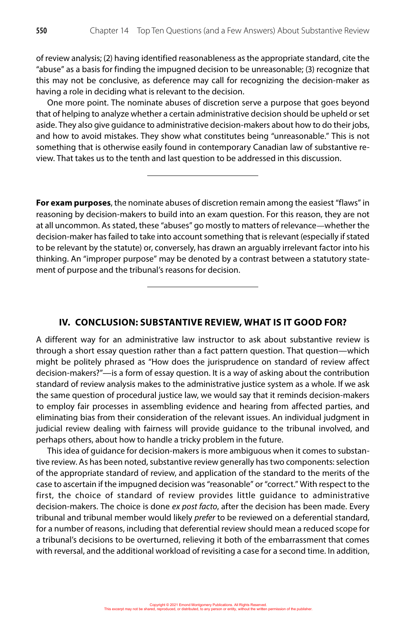of review analysis; (2) having identified reasonableness as the appropriate standard, cite the "abuse" as a basis for finding the impugned decision to be unreasonable; (3) recognize that this may not be conclusive, as deference may call for recognizing the decision-maker as having a role in deciding what is relevant to the decision.

One more point. The nominate abuses of discretion serve a purpose that goes beyond that of helping to analyze whether a certain administrative decision should be upheld or set aside. They also give guidance to administrative decision-makers about how to do their jobs, and how to avoid mistakes. They show what constitutes being "unreasonable." This is not something that is otherwise easily found in contemporary Canadian law of substantive review. That takes us to the tenth and last question to be addressed in this discussion.

**For exam purposes**, the nominate abuses of discretion remain among the easiest "flaws" in reasoning by decision-makers to build into an exam question. For this reason, they are not at all uncommon. As stated, these "abuses" go mostly to matters of relevance—whether the decision-maker has failed to take into account something that is relevant (especially if stated to be relevant by the statute) or, conversely, has drawn an arguably irrelevant factor into his thinking. An "improper purpose" may be denoted by a contrast between a statutory statement of purpose and the tribunal's reasons for decision.

#### **IV. CONCLUSION: SUBSTANTIVE REVIEW, WHAT IS IT GOOD FOR?**

A different way for an administrative law instructor to ask about substantive review is through a short essay question rather than a fact pattern question. That question—which might be politely phrased as "How does the jurisprudence on standard of review affect decision-makers?"—is a form of essay question. It is a way of asking about the contribution standard of review analysis makes to the administrative justice system as a whole. If we ask the same question of procedural justice law, we would say that it reminds decision-makers to employ fair processes in assembling evidence and hearing from affected parties, and eliminating bias from their consideration of the relevant issues. An individual judgment in judicial review dealing with fairness will provide guidance to the tribunal involved, and perhaps others, about how to handle a tricky problem in the future.

This idea of guidance for decision-makers is more ambiguous when it comes to substantive review. As has been noted, substantive review generally has two components: selection of the appropriate standard of review, and application of the standard to the merits of the case to ascertain if the impugned decision was "reasonable" or "correct." With respect to the first, the choice of standard of review provides little guidance to administrative decision-makers. The choice is done *ex post facto*, after the decision has been made. Every tribunal and tribunal member would likely *prefer* to be reviewed on a deferential standard, for a number of reasons, including that deferential review should mean a reduced scope for a tribunal's decisions to be overturned, relieving it both of the embarrassment that comes with reversal, and the additional workload of revisiting a case for a second time. In addition,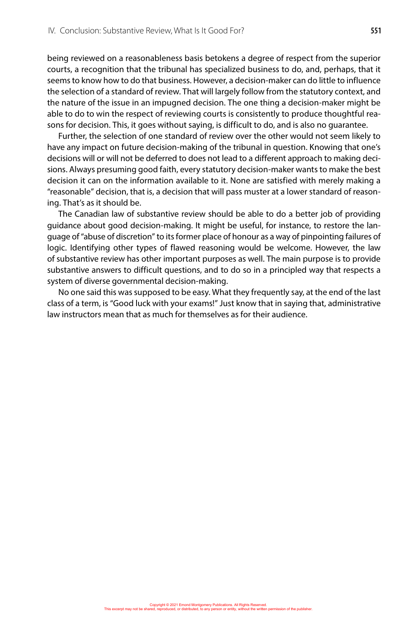being reviewed on a reasonableness basis betokens a degree of respect from the superior courts, a recognition that the tribunal has specialized business to do, and, perhaps, that it seems to know how to do that business. However, a decision-maker can do little to influence the selection of a standard of review. That will largely follow from the statutory context, and the nature of the issue in an impugned decision. The one thing a decision-maker might be able to do to win the respect of reviewing courts is consistently to produce thoughtful reasons for decision. This, it goes without saying, is difficult to do, and is also no guarantee.

Further, the selection of one standard of review over the other would not seem likely to have any impact on future decision-making of the tribunal in question. Knowing that one's decisions will or will not be deferred to does not lead to a different approach to making decisions. Always presuming good faith, every statutory decision-maker wants to make the best decision it can on the information available to it. None are satisfied with merely making a "reasonable" decision, that is, a decision that will pass muster at a lower standard of reasoning. That's as it should be.

The Canadian law of substantive review should be able to do a better job of providing guidance about good decision-making. It might be useful, for instance, to restore the language of "abuse of discretion" to its former place of honour as a way of pinpointing failures of logic. Identifying other types of flawed reasoning would be welcome. However, the law of substantive review has other important purposes as well. The main purpose is to provide substantive answers to difficult questions, and to do so in a principled way that respects a system of diverse governmental decision-making.

No one said this was supposed to be easy. What they frequently say, at the end of the last class of a term, is "Good luck with your exams!" Just know that in saying that, administrative law instructors mean that as much for themselves as for their audience.